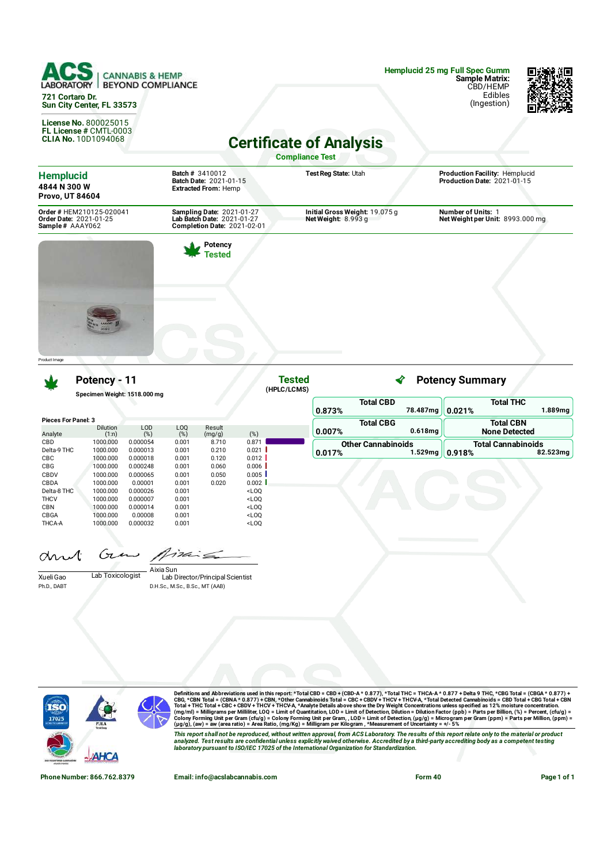**CANNABIS & HEMP BEYOND COMPLIANCE LABO 721 Cortaro Dr. Sun City Center, FL 33573**

**License No.** 800025015 **FL License #** CMTL-0003 **CLIA No.** 10D1094068

**Hemplucid 25 mg Full Spec Gumm Sample Matrix:** CBD/HEMP Edibles

(Ingestion)



## **Certificate of Analysis**

**Compliance Test**

| <b>Hemplucid</b><br>4844 N 300 W<br><b>Provo, UT 84604</b>            | <b>Batch # 3410012</b><br>Batch Date: 2021-01-15<br><b>Extracted From: Hemp</b>                      | Test Reg State: Utah                                   | Production Facility: Hemplucid<br>Production Date: 2021-01-15 |
|-----------------------------------------------------------------------|------------------------------------------------------------------------------------------------------|--------------------------------------------------------|---------------------------------------------------------------|
| Order # HEM210125-020041<br>Order Date: 2021-01-25<br>Sample# AAAY062 | <b>Sampling Date: 2021-01-27</b><br>Lab Batch Date: 2021-01-27<br><b>Completion Date: 2021-02-01</b> | Initial Gross Weight: 19.075 g<br>Net Weight: $8.993g$ | <b>Number of Units: 1</b><br>Net Weight per Unit: 8993.000 mg |
|                                                                       | Potency<br>Tested                                                                                    |                                                        |                                                               |
|                                                                       |                                                                                                      |                                                        |                                                               |

**Potency - 11**

**Specimen Weight: 1518.000 mg**

|                            |                          |               |                          |                  |         | 0.873%  |
|----------------------------|--------------------------|---------------|--------------------------|------------------|---------|---------|
| <b>Pieces For Panel: 3</b> |                          |               |                          |                  |         | Тι      |
| Analyte                    | <b>Dilution</b><br>(1:n) | LOD<br>$(\%)$ | L <sub>0</sub><br>$(\%)$ | Result<br>(mg/g) | $(\%)$  | 0.007%  |
| <b>CBD</b>                 | 1000.000                 | 0.000054      | 0.001                    | 8.710            | 0.871   | Other 0 |
| Delta-9 THC                | 1000.000                 | 0.000013      | 0.001                    | 0.210            | 0.021   | 0.017%  |
| <b>CBC</b>                 | 1000.000                 | 0.000018      | 0.001                    | 0.120            | 0.012   |         |
| CBG                        | 1000.000                 | 0.000248      | 0.001                    | 0.060            | 0.006   |         |
| CBDV                       | 1000.000                 | 0.000065      | 0.001                    | 0.050            | 0.005   |         |
| CBDA                       | 1000.000                 | 0.00001       | 0.001                    | 0.020            | 0.002   |         |
| Delta-8 THC                | 1000.000                 | 0.000026      | 0.001                    |                  | $<$ LOO |         |
| <b>THCV</b>                | 1000.000                 | 0.000007      | 0.001                    |                  | $<$ LOO |         |
| <b>CBN</b>                 | 1000.000                 | 0.000014      | 0.001                    |                  | $<$ LOO |         |
| CBGA                       | 1000.000                 | 0.00008       | 0.001                    |                  | $<$ LOO |         |
| <b>THCA-A</b>              | 1000.000                 | 0.000032      | 0.001                    |                  | $<$ LOO |         |

| Tested<br>(HPLC/LCMS) | ∢<br><b>Potency Summary</b> |  |            |                           |                      |  |  |
|-----------------------|-----------------------------|--|------------|---------------------------|----------------------|--|--|
|                       | <b>Total CBD</b>            |  |            | <b>Total THC</b>          |                      |  |  |
|                       | 0.873%                      |  | 78.487mg   | 0.021%                    | 1.889mg              |  |  |
|                       | <b>Total CBG</b>            |  |            | <b>Total CBN</b>          |                      |  |  |
|                       | 0.007%                      |  | $0.618$ mg |                           | <b>None Detected</b> |  |  |
|                       | <b>Other Cannabinoids</b>   |  |            | <b>Total Cannabinoids</b> |                      |  |  |
|                       | 0.017%                      |  | 1.529mg    | 0.918%                    | 82.523mg             |  |  |

drut

Gen

Xueli Gao Lab Toxicologist Ph.D., DABT

Product Image

Aixia Sun<br>Lab Director/Principal Scientist D.H.Sc., M.Sc., B.Sc., MT (AAB)



Definitions and Abbreviations used in this report: \*Total CBD = CBD + (CBD-A \* 0.877), \*Total THC = THCA-A \* 0.877) + Delta 9 THC, \*CBG Total = (CBGA \* 0.877) +<br>CBG, \*CBN Total = (CBNA \* 0.877) + CBN, \*Other Cannabinoids T

This report shall not be reproduced, without written approval, from ACS Laboratory. The results of this report relate only to the material or product<br>analyzed. Test results are confidential unless explicitly waived otherwi

**Phone Number: 866.762.8379 Email: info@acslabcannabis.com Form 40 Page 1 of 1**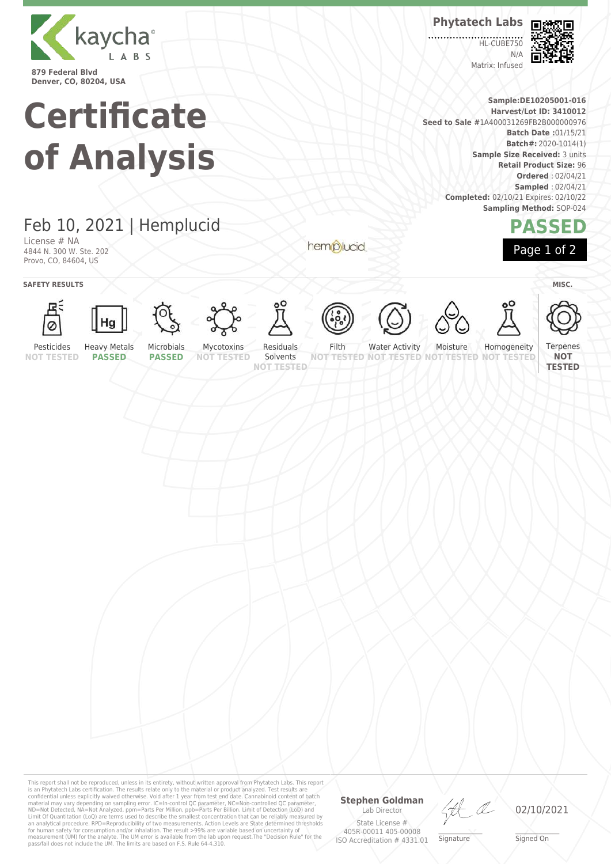

**Denver, CO, 80204, USA**

# **Certificate of Analysis**

**Phytatech Labs**

**HL-CUBE750**  $N/L$ Matrix: Infused



**Sample:DE10205001-016 Harvest/Lot ID: 3410012 Seed to Sale #**1A400031269FB2B000000976 **Batch Date :**01/15/21 **Batch#:** 2020-1014(1) **Sample Size Received:** 3 units **Retail Product Size:** 96 **Ordered** : 02/04/21 **Sampled** : 02/04/21 **Completed:** 02/10/21 Expires: 02/10/22 **Sampling Method:** SOP-024

### **PASSED** Page 1 of 2



License # NA 4844 N. 300 W. Ste. 202 Provo, CO, 84604, US

**SAFETY RESULTS** MISC.





























**NOT TESTED**

**NOT TESTED**

Pesticides **NOT TESTED**

**PASSED**

Microbials **PASSED**

**NOT TESTED** Solvents **NOT TESTED**

hemplucid

**NOT TESTED NOT TESTED**

Water Activity Moisture **TESTED NOT** Homogeneity

This report shall not be reproduced, unless in its entirety, without written approval from Phytatech Labs. This report<br>is an Phytatech Labs certification. The results relate only to the material or product analyzed. Test

#### **Stephen Goldman** Lab Director

State License # 405R-00011 405-00008 ISO Accreditation # 4331.01

HA

\_\_\_\_\_\_\_\_\_\_\_\_\_\_\_\_\_\_\_ Signature

02/10/2021

\_\_\_\_\_\_\_\_\_\_\_\_\_\_\_\_\_\_\_ Signed On